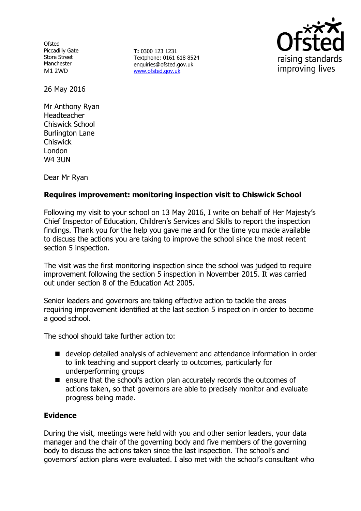**Ofsted** Piccadilly Gate Store Street Manchester M1 2WD

**T:** 0300 123 1231 Textphone: 0161 618 8524 enquiries@ofsted.gov.uk www.ofsted.gov.uk



26 May 2016

Mr Anthony Ryan Headteacher Chiswick School Burlington Lane Chiswick London W4 3UN

Dear Mr Ryan

## **Requires improvement: monitoring inspection visit to Chiswick School**

Following my visit to your school on 13 May 2016, I write on behalf of Her Majesty's Chief Inspector of Education, Children's Services and Skills to report the inspection findings. Thank you for the help you gave me and for the time you made available to discuss the actions you are taking to improve the school since the most recent section 5 inspection.

The visit was the first monitoring inspection since the school was judged to require improvement following the section 5 inspection in November 2015. It was carried out under section 8 of the Education Act 2005.

Senior leaders and governors are taking effective action to tackle the areas requiring improvement identified at the last section 5 inspection in order to become a good school.

The school should take further action to:

- develop detailed analysis of achievement and attendance information in order to link teaching and support clearly to outcomes, particularly for underperforming groups
- $\blacksquare$  ensure that the school's action plan accurately records the outcomes of actions taken, so that governors are able to precisely monitor and evaluate progress being made.

### **Evidence**

During the visit, meetings were held with you and other senior leaders, your data manager and the chair of the governing body and five members of the governing body to discuss the actions taken since the last inspection. The school's and governors' action plans were evaluated. I also met with the school's consultant who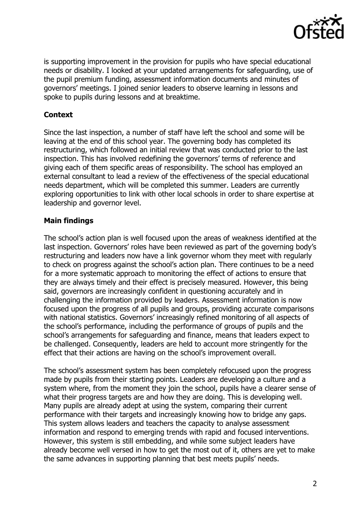

is supporting improvement in the provision for pupils who have special educational needs or disability. I looked at your updated arrangements for safeguarding, use of the pupil premium funding, assessment information documents and minutes of governors' meetings. I joined senior leaders to observe learning in lessons and spoke to pupils during lessons and at breaktime.

## **Context**

Since the last inspection, a number of staff have left the school and some will be leaving at the end of this school year. The governing body has completed its restructuring, which followed an initial review that was conducted prior to the last inspection. This has involved redefining the governors' terms of reference and giving each of them specific areas of responsibility. The school has employed an external consultant to lead a review of the effectiveness of the special educational needs department, which will be completed this summer. Leaders are currently exploring opportunities to link with other local schools in order to share expertise at leadership and governor level.

# **Main findings**

The school's action plan is well focused upon the areas of weakness identified at the last inspection. Governors' roles have been reviewed as part of the governing body's restructuring and leaders now have a link governor whom they meet with regularly to check on progress against the school's action plan. There continues to be a need for a more systematic approach to monitoring the effect of actions to ensure that they are always timely and their effect is precisely measured. However, this being said, governors are increasingly confident in questioning accurately and in challenging the information provided by leaders. Assessment information is now focused upon the progress of all pupils and groups, providing accurate comparisons with national statistics. Governors' increasingly refined monitoring of all aspects of the school's performance, including the performance of groups of pupils and the school's arrangements for safeguarding and finance, means that leaders expect to be challenged. Consequently, leaders are held to account more stringently for the effect that their actions are having on the school's improvement overall.

The school's assessment system has been completely refocused upon the progress made by pupils from their starting points. Leaders are developing a culture and a system where, from the moment they join the school, pupils have a clearer sense of what their progress targets are and how they are doing. This is developing well. Many pupils are already adept at using the system, comparing their current performance with their targets and increasingly knowing how to bridge any gaps. This system allows leaders and teachers the capacity to analyse assessment information and respond to emerging trends with rapid and focused interventions. However, this system is still embedding, and while some subject leaders have already become well versed in how to get the most out of it, others are yet to make the same advances in supporting planning that best meets pupils' needs.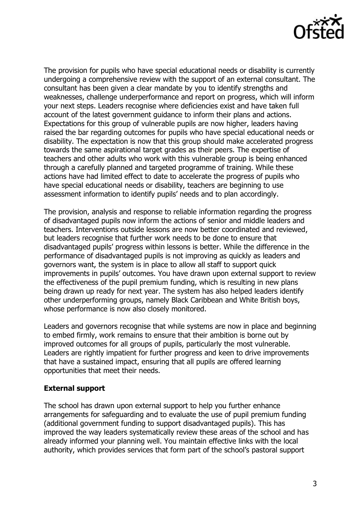

The provision for pupils who have special educational needs or disability is currently undergoing a comprehensive review with the support of an external consultant. The consultant has been given a clear mandate by you to identify strengths and weaknesses, challenge underperformance and report on progress, which will inform your next steps. Leaders recognise where deficiencies exist and have taken full account of the latest government guidance to inform their plans and actions. Expectations for this group of vulnerable pupils are now higher, leaders having raised the bar regarding outcomes for pupils who have special educational needs or disability. The expectation is now that this group should make accelerated progress towards the same aspirational target grades as their peers. The expertise of teachers and other adults who work with this vulnerable group is being enhanced through a carefully planned and targeted programme of training. While these actions have had limited effect to date to accelerate the progress of pupils who have special educational needs or disability, teachers are beginning to use assessment information to identify pupils' needs and to plan accordingly.

The provision, analysis and response to reliable information regarding the progress of disadvantaged pupils now inform the actions of senior and middle leaders and teachers. Interventions outside lessons are now better coordinated and reviewed, but leaders recognise that further work needs to be done to ensure that disadvantaged pupils' progress within lessons is better. While the difference in the performance of disadvantaged pupils is not improving as quickly as leaders and governors want, the system is in place to allow all staff to support quick improvements in pupils' outcomes. You have drawn upon external support to review the effectiveness of the pupil premium funding, which is resulting in new plans being drawn up ready for next year. The system has also helped leaders identify other underperforming groups, namely Black Caribbean and White British boys, whose performance is now also closely monitored.

Leaders and governors recognise that while systems are now in place and beginning to embed firmly, work remains to ensure that their ambition is borne out by improved outcomes for all groups of pupils, particularly the most vulnerable. Leaders are rightly impatient for further progress and keen to drive improvements that have a sustained impact, ensuring that all pupils are offered learning opportunities that meet their needs.

### **External support**

The school has drawn upon external support to help you further enhance arrangements for safeguarding and to evaluate the use of pupil premium funding (additional government funding to support disadvantaged pupils). This has improved the way leaders systematically review these areas of the school and has already informed your planning well. You maintain effective links with the local authority, which provides services that form part of the school's pastoral support